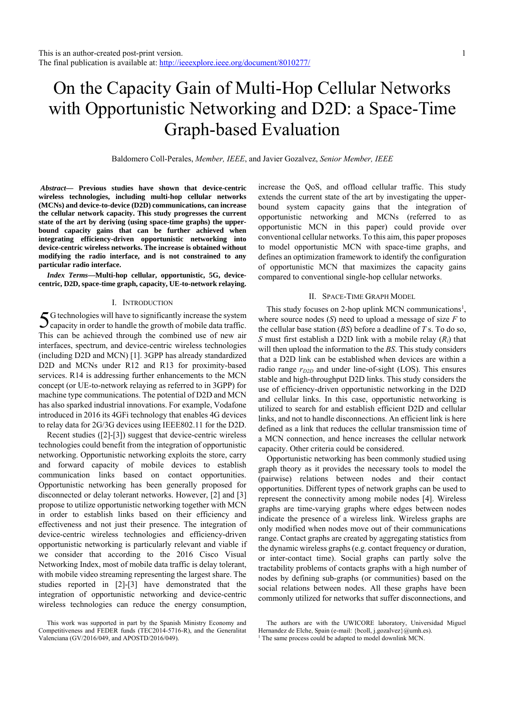# On the Capacity Gain of Multi-Hop Cellular Networks with Opportunistic Networking and D2D: a Space-Time Graph-based Evaluation

Baldomero Coll-Perales, *Member, IEEE*, and Javier Gozalvez, *Senior Member, IEEE*

*Abstract***— Previous studies have shown that device-centric wireless technologies, including multi-hop cellular networks (MCNs) and device-to-device (D2D) communications, can increase the cellular network capacity. This study progresses the current state of the art by deriving (using space-time graphs) the upperbound capacity gains that can be further achieved when integrating efficiency-driven opportunistic networking into device-centric wireless networks. The increase is obtained without modifying the radio interface, and is not constrained to any particular radio interface.** 

*Index Terms***—Multi-hop cellular, opportunistic, 5G, devicecentric, D2D, space-time graph, capacity, UE-to-network relaying.** 

# I. INTRODUCTION

G technologies will have to significantly increase the system  $5$ G technologies will have to significantly increase the system capacity in order to handle the growth of mobile data traffic. This can be achieved through the combined use of new air interfaces, spectrum, and device-centric wireless technologies (including D2D and MCN) [1]. 3GPP has already standardized D2D and MCNs under R12 and R13 for proximity-based services. R14 is addressing further enhancements to the MCN concept (or UE-to-network relaying as referred to in 3GPP) for machine type communications. The potential of D2D and MCN has also sparked industrial innovations. For example, Vodafone introduced in 2016 its 4GFi technology that enables 4G devices to relay data for 2G/3G devices using IEEE802.11 for the D2D.

Recent studies ([2]-[3]) suggest that device-centric wireless technologies could benefit from the integration of opportunistic networking. Opportunistic networking exploits the store, carry and forward capacity of mobile devices to establish communication links based on contact opportunities. Opportunistic networking has been generally proposed for disconnected or delay tolerant networks. However, [2] and [3] propose to utilize opportunistic networking together with MCN in order to establish links based on their efficiency and effectiveness and not just their presence. The integration of device-centric wireless technologies and efficiency-driven opportunistic networking is particularly relevant and viable if we consider that according to the 2016 Cisco Visual Networking Index, most of mobile data traffic is delay tolerant, with mobile video streaming representing the largest share. The studies reported in [2]-[3] have demonstrated that the integration of opportunistic networking and device-centric wireless technologies can reduce the energy consumption,

This work was supported in part by the Spanish Ministry Economy and Competitiveness and FEDER funds (TEC2014-5716-R), and the Generalitat Valenciana (GV/2016/049, and APOSTD/2016/049).

increase the QoS, and offload cellular traffic. This study extends the current state of the art by investigating the upperbound system capacity gains that the integration of opportunistic networking and MCNs (referred to as opportunistic MCN in this paper) could provide over conventional cellular networks. To this aim, this paper proposes to model opportunistic MCN with space-time graphs, and defines an optimization framework to identify the configuration of opportunistic MCN that maximizes the capacity gains compared to conventional single-hop cellular networks.

### II. SPACE-TIME GRAPH MODEL

This study focuses on 2-hop uplink MCN communications<sup>1</sup>, where source nodes (*S*) need to upload a message of size *F* to the cellular base station (*BS*) before a deadline of *T* s. To do so, *S* must first establish a D2D link with a mobile relay (*Ri*) that will then upload the information to the *BS*. This study considers that a D2D link can be established when devices are within a radio range  $r_{D2D}$  and under line-of-sight (LOS). This ensures stable and high-throughput D2D links. This study considers the use of efficiency-driven opportunistic networking in the D2D and cellular links. In this case, opportunistic networking is utilized to search for and establish efficient D2D and cellular links, and not to handle disconnections. An efficient link is here defined as a link that reduces the cellular transmission time of a MCN connection, and hence increases the cellular network capacity. Other criteria could be considered.

Opportunistic networking has been commonly studied using graph theory as it provides the necessary tools to model the (pairwise) relations between nodes and their contact opportunities. Different types of network graphs can be used to represent the connectivity among mobile nodes [4]. Wireless graphs are time-varying graphs where edges between nodes indicate the presence of a wireless link. Wireless graphs are only modified when nodes move out of their communications range. Contact graphs are created by aggregating statistics from the dynamic wireless graphs (e.g. contact frequency or duration, or inter-contact time). Social graphs can partly solve the tractability problems of contacts graphs with a high number of nodes by defining sub-graphs (or communities) based on the social relations between nodes. All these graphs have been commonly utilized for networks that suffer disconnections, and

The authors are with the UWICORE laboratory, Universidad Miguel Hernandez de Elche, Spain (e-mail: {bcoll, j.gozalvez}@umh.es).

<sup>&</sup>lt;sup>1</sup> The same process could be adapted to model downlink MCN.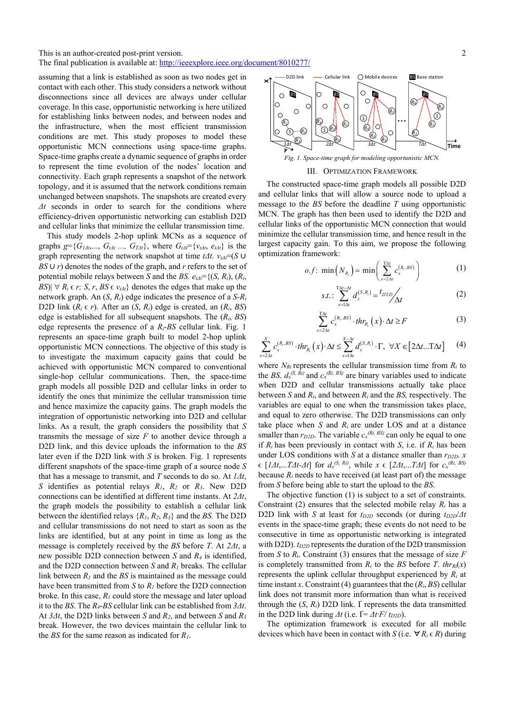This is an author-created post-print version.

The final publication is available at: http://ieeexplore.ieee.org/document/8010277/

assuming that a link is established as soon as two nodes get in contact with each other. This study considers a network without disconnections since all devices are always under cellular coverage. In this case, opportunistic networking is here utilized for establishing links between nodes, and between nodes and the infrastructure, when the most efficient transmission conditions are met. This study proposes to model these opportunistic MCN connections using space-time graphs. Space-time graphs create a dynamic sequence of graphs in order to represent the time evolution of the nodes' location and connectivity. Each graph represents a snapshot of the network topology, and it is assumed that the network conditions remain unchanged between snapshots. The snapshots are created every *Δt* seconds in order to search for the conditions where efficiency-driven opportunistic networking can establish D2D and cellular links that minimize the cellular transmission time.

This study models 2-hop uplink MCNs as a sequence of graphs  $g = \{G_{1\Delta t}, G_{1\Delta t}, G_{1\Delta t}, G_{1\Delta t}\}$ , where  $G_{1\Delta t} = \{v_{t\Delta t}, e_{t\Delta t}\}$  is the graph representing the network snapshot at time  $t\Delta t$ .  $v_{td} = (S \cup$ *BS* ∪ *r*) denotes the nodes of the graph, and *r* refers to the set of potential mobile relays between *S* and the *BS*.  $e_{\ell A} = \{(S, R_i), (R_i, \ell)\}$  $|BS| \,\forall R_i \in r; S, r, BS \in v_{tdt}$  denotes the edges that make up the network graph. An (*S*, *Ri*) edge indicates the presence of a *S*-*Ri* D2D link  $(R_i \in r)$ . After an  $(S, R_i)$  edge is created, an  $(R_i, BS)$ edge is established for all subsequent snapshots. The (*Ri*, *BS*) edge represents the presence of a *Ri*-*BS* cellular link. Fig. 1 represents an space-time graph built to model 2-hop uplink opportunistic MCN connections. The objective of this study is to investigate the maximum capacity gains that could be achieved with opportunistic MCN compared to conventional single-hop cellular communications. Then, the space-time graph models all possible D2D and cellular links in order to identify the ones that minimize the cellular transmission time and hence maximize the capacity gains. The graph models the integration of opportunistic networking into D2D and cellular links. As a result, the graph considers the possibility that *S* transmits the message of size  $F$  to another device through a D2D link, and this device uploads the information to the *BS* later even if the D2D link with *S* is broken. Fig. 1 represents different snapshots of the space-time graph of a source node *S* that has a message to transmit, and *T* seconds to do so. At *1Δt*, *S* identifies as potential relays *R1*, *R2* or *R3*. New D2D connections can be identified at different time instants. At *2Δt*, the graph models the possibility to establish a cellular link between the identified relays {*R1*, *R2*, *R3*} and the *BS.* The D2D and cellular transmissions do not need to start as soon as the links are identified, but at any point in time as long as the message is completely received by the *BS* before *T*. At *2Δt*, a new possible D2D connection between *S* and *R4* is identified, and the D2D connection between *S* and *R1* breaks. The cellular link between  $R_1$  and the *BS* is maintained as the message could have been transmitted from *S* to *R1* before the D2D connection broke. In this case,  $R_l$  could store the message and later upload it to the *BS*. The *R4*-*BS* cellular link can be established from *3Δt*. At *3Δt*, the D2D links between *S* and *R2*, and between *S* and *R3* break. However, the two devices maintain the cellular link to the *BS* for the same reason as indicated for *R1*.



*Fig. 1. Space-time graph for modeling opportunistic MCN.* 

## III. OPTIMIZATION FRAMEWORK

The constructed space-time graph models all possible D2D and cellular links that will allow a source node to upload a message to the *BS* before the deadline *T* using opportunistic MCN. The graph has then been used to identify the D2D and cellular links of the opportunistic MCN connection that would minimize the cellular transmission time, and hence result in the largest capacity gain. To this aim, we propose the following optimization framework:

$$
o.f: \min\left(N_{R_i}\right) = \min\left(\sum_{x=2\Delta t}^{\text{TA}} c_x^{(R_i,BS)}\right) \tag{1}
$$

$$
s.t. : \sum_{x=1\Delta t}^{T\Delta t - \Delta t} d_x^{(S,R_t)} = {t_{D2D}}/{\Delta t}
$$
 (2)

$$
\sum_{x=2\Delta t}^{T\Delta t} c_x^{(R_i,BS)} \cdot thr_{R_i}(x) \cdot \Delta t \ge F \tag{3}
$$

$$
\sum_{x=2\Delta t}^{X} c_x^{(R_i,BS)} \cdot thr_{R_i}(x) \cdot \Delta t \le \sum_{x=1\Delta t}^{X-\Delta t} d_x^{(S,R_i)} \cdot \Gamma, \ \forall X \in [2\Delta t...T\Delta t] \tag{4}
$$

where  $N_{Ri}$  represents the cellular transmission time from  $R_i$  to the *BS*.  $d_x^{(S, Ri)}$  and  $c_x^{(Ri, BS)}$  are binary variables used to indicate when D2D and cellular transmissions actually take place between *S* and *Ri*, and between *Ri* and the *BS,* respectively. The variables are equal to one when the transmission takes place, and equal to zero otherwise. The D2D transmissions can only take place when  $S$  and  $R_i$  are under LOS and at a distance smaller than  $r_{D2D}$ . The variable  $c_x^{(Ri, BS)}$  can only be equal to one if  $R_i$  has been previously in contact with *S*, i.e. if  $R_i$  has been under LOS conditions with *S* at a distance smaller than  $r_{D2D}$ . *x*  $\in$  [*l*Δ*t*,...*T*Δ*t*-Δ*t*] for  $d_x^{(S, Ri)}$ , while  $x \in$  [2Δ*t*,...*T*Δ*t*] for  $c_x^{(Ri, BS)}$ because  $R_i$  needs to have received (at least part of) the message from *S* before being able to start the upload to the *BS*.

The objective function (1) is subject to a set of constraints. Constraint (2) ensures that the selected mobile relay  $R_i$  has a D2D link with *S* at least for  $t_{D2D}$  seconds (or during  $t_{D2D}/\Delta t$ events in the space-time graph; these events do not need to be consecutive in time as opportunistic networking is integrated with D2D).  $t_{D2D}$  represents the duration of the D2D transmission from *S* to *R*i. Constraint (3) ensures that the message of size *F* is completely transmitted from  $R_i$  to the *BS* before *T*. *thr<sub>Ri</sub>*(*x*) represents the uplink cellular throughput experienced by *Ri* at time instant *x*. Constraint (4) guarantees that the  $(R_i, BS)$  cellular link does not transmit more information than what is received through the  $(S, R_i)$  D2D link.  $\Gamma$  represents the data transmitted in the D2D link during  $\Delta t$  (i.e.  $\vec{I} = \Delta t \cdot \vec{F} / t_{D2D}$ ).

The optimization framework is executed for all mobile devices which have been in contact with *S* (i.e.  $\forall R_i \in R$ ) during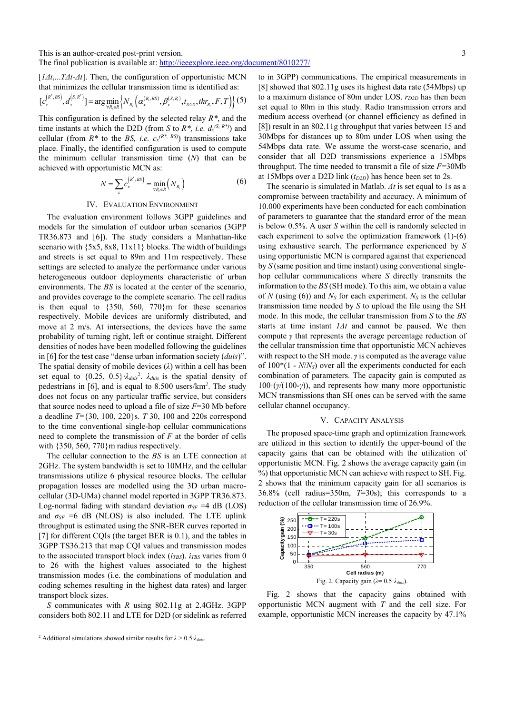This is an author-created post-print version.

The final publication is available at: http://ieeexplore.ieee.org/document/8010277/

[*1Δt*,...*TΔt-Δt*]. Then, the configuration of opportunistic MCN that minimizes the cellular transmission time is identified as:

$$
[c_x^{(R^*,BS)}, d_x^{(S,R^*)}] = \arg\min_{\forall R_i \in \mathcal{R}} \left\{ N_{R_i} \left( \alpha_x^{(R_i,BS)}, \beta_x^{(S,R_i)}, t_{D2D}, thr_{R_i}, F, T \right) \right\} (5)
$$

This configuration is defined by the selected relay *R\**, and the time instants at which the D2D (from *S* to  $R^*$ , *i.e.*  $d_x^{(S, R^*)}$ ) and cellular (from  $R^*$  to the *BS*, *i.e.*  $c_x^{(R^*, B)}$ ) transmissions take place. Finally, the identified configuration is used to compute the minimum cellular transmission time (*N*) that can be achieved with opportunistic MCN as:

$$
N = \sum_{x} c_x^{(R^*,BS)} = \min_{\forall R_i \in R} \left( N_{R_i} \right) \tag{6}
$$

## IV. EVALUATION ENVIRONMENT

The evaluation environment follows 3GPP guidelines and models for the simulation of outdoor urban scenarios (3GPP TR36.873 and [6]). The study considers a Manhattan-like scenario with  $\{5x5, 8x8, 11x11\}$  blocks. The width of buildings and streets is set equal to 89m and 11m respectively. These settings are selected to analyze the performance under various heterogeneous outdoor deployments characteristic of urban environments. The *BS* is located at the center of the scenario, and provides coverage to the complete scenario. The cell radius is then equal to  $\{350, 560, 770\}$  m for these scenarios respectively. Mobile devices are uniformly distributed, and move at 2 m/s. At intersections, the devices have the same probability of turning right, left or continue straight. Different densities of nodes have been modelled following the guidelines in [6] for the test case "dense urban information society (*duis*)". The spatial density of mobile devices (*λ*) within a cell has been set equal to  $\{0.25, 0.5\}$   $\lambda_{duis}^2$ .  $\lambda_{duis}$  is the spatial density of pedestrians in [6], and is equal to 8.500 users/km*<sup>2</sup>* . The study does not focus on any particular traffic service, but considers that source nodes need to upload a file of size *F*=30 Mb before a deadline *T*={30, 100, 220}s. *T* 30, 100 and 220s correspond to the time conventional single-hop cellular communications need to complete the transmission of *F* at the border of cells with  $\{350, 560, 770\}$ m radius respectively.

The cellular connection to the *BS* is an LTE connection at 2GHz. The system bandwidth is set to 10MHz, and the cellular transmissions utilize 6 physical resource blocks. The cellular propagation losses are modelled using the 3D urban macrocellular (3D-UMa) channel model reported in 3GPP TR36.873. Log-normal fading with standard deviation  $\sigma_{SF}$  =4 dB (LOS) and  $\sigma_{SF}$  =6 dB (NLOS) is also included. The LTE uplink throughput is estimated using the SNR-BER curves reported in [7] for different COIs (the target BER is 0.1), and the tables in 3GPP TS36.213 that map CQI values and transmission modes to the associated transport block index ( $i_{TBS}$ ).  $i_{TBS}$  varies from 0 to 26 with the highest values associated to the highest transmission modes (i.e. the combinations of modulation and coding schemes resulting in the highest data rates) and larger transport block sizes.

*S* communicates with *R* using 802.11g at 2.4GHz. 3GPP considers both 802.11 and LTE for D2D (or sidelink as referred to in 3GPP) communications. The empirical measurements in [8] showed that 802.11g uses its highest data rate (54Mbps) up to a maximum distance of 80m under LOS.  $r_{D2D}$  has then been set equal to 80m in this study. Radio transmission errors and medium access overhead (or channel efficiency as defined in [8]) result in an 802.11g throughput that varies between 15 and 30Mbps for distances up to 80m under LOS when using the 54Mbps data rate. We assume the worst-case scenario, and consider that all D2D transmissions experience a 15Mbps throughput. The time needed to transmit a file of size *F*=30Mb at 15Mbps over a D2D link  $(t_{D2D})$  has hence been set to 2s.

The scenario is simulated in Matlab. *Δt* is set equal to 1s as a compromise between tractability and accuracy. A minimum of 10.000 experiments have been conducted for each combination of parameters to guarantee that the standard error of the mean is below 0.5%. A user *S* within the cell is randomly selected in each experiment to solve the optimization framework (1)-(6) using exhaustive search. The performance experienced by *S* using opportunistic MCN is compared against that experienced by *S* (same position and time instant) using conventional singlehop cellular communications where *S* directly transmits the information to the *BS* (SH mode). To this aim, we obtain a value of *N* (using (6)) and  $N<sub>S</sub>$  for each experiment.  $N<sub>S</sub>$  is the cellular transmission time needed by *S* to upload the file using the SH mode. In this mode, the cellular transmission from *S* to the *BS* starts at time instant *1Δt* and cannot be paused. We then compute *γ* that represents the average percentage reduction of the cellular transmission time that opportunistic MCN achieves with respect to the SH mode. *γ* is computed as the average value of 100\*(1 - *N*/*NS*) over all the experiments conducted for each combination of parameters. The capacity gain is computed as 100·(*γ*/(100-*γ*)), and represents how many more opportunistic MCN transmissions than SH ones can be served with the same cellular channel occupancy.

### V. CAPACITY ANALYSIS

The proposed space-time graph and optimization framework are utilized in this section to identify the upper-bound of the capacity gains that can be obtained with the utilization of opportunistic MCN. Fig. 2 shows the average capacity gain (in %) that opportunistic MCN can achieve with respect to SH. Fig. 2 shows that the minimum capacity gain for all scenarios is 36.8% (cell radius=350m, *T*=30s); this corresponds to a reduction of the cellular transmission time of 26.9%.



Fig. 2 shows that the capacity gains obtained with opportunistic MCN augment with *T* and the cell size. For example, opportunistic MCN increases the capacity by 47.1%

<sup>&</sup>lt;sup>2</sup> Additional simulations showed similar results for  $\lambda > 0.5$ *·* $\lambda_{\text{duis}}$ *.*